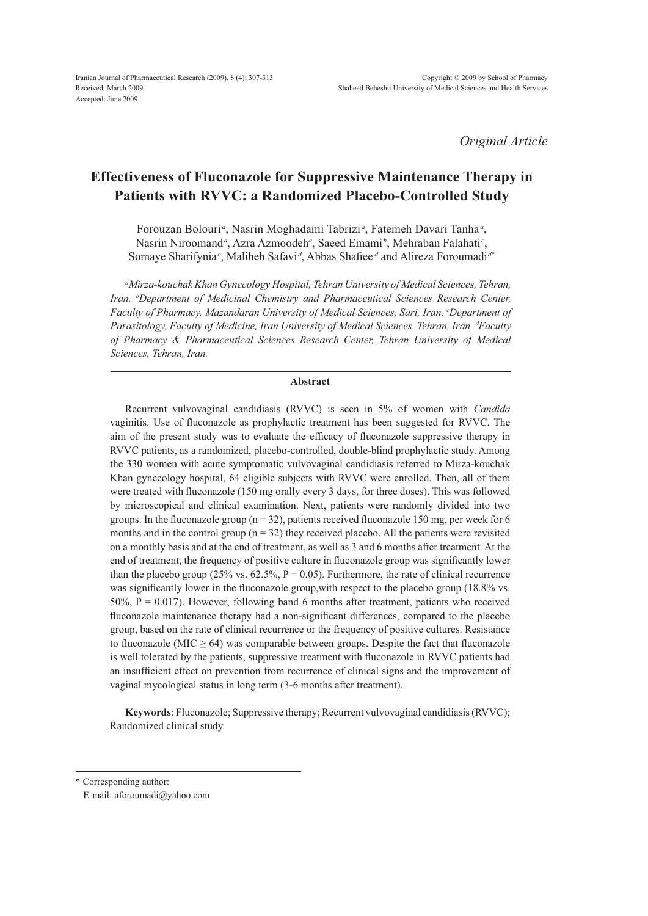# **Effectiveness of Fluconazole for Suppressive Maintenance Therapy in Patients with RVVC: a Randomized Placebo-Controlled Study**

Forouzan Bolouri<sup>a</sup>, Nasrin Moghadami Tabrizi<sup>a</sup>, Fatemeh Davari Tanha<sup>a</sup>, Nasrin Niroomand<sup>a</sup>, Azra Azmoodeh<sup>a</sup>, Saeed Emami<sup>b</sup>, Mehraban Falahati<sup>c</sup>, Somaye Sharifynia<sup>c</sup>, Maliheh Safavi<sup>d</sup>, Abbas Shafiee<sup>d</sup> and Alireza Foroumadi<sup>d\*</sup>

<sup>a</sup>Mirza-kouchak Khan Gynecology Hospital, Tehran University of Medical Sciences, Tehran, Iran. <sup>b</sup>Department of Medicinal Chemistry and Pharmaceutical Sciences Research Center, Faculty of Pharmacy, Mazandaran University of Medical Sciences, Sari, Iran. <sup>c</sup>Department of Parasitology, Faculty of Medicine, Iran University of Medical Sciences, Tehran, Iran. <sup>d</sup>Faculty of Pharmacy & Pharmaceutical Sciences Research Center, Tehran University of Medical Sciences, Tehran, Iran.

## Abstract

Recurrent vulvovaginal candidiasis (RVVC) is seen in 5% of women with *Candida* vaginitis. Use of fluconazole as prophylactic treatment has been suggested for RVVC. The aim of the present study was to evaluate the efficacy of fluconazole suppressive therapy in RVVC patients, as a randomized, placebo-controlled, double-blind prophylactic study. Among the 330 women with acute symptomatic vulvovaginal candidiasis referred to Mirza-kouchak Khan gynecology hospital, 64 eligible subjects with RVVC were enrolled. Then, all of them were treated with fluconazole (150 mg orally every 3 days, for three doses). This was followed by microscopical and clinical examination. Next, patients were randomly divided into two groups. In the fluconazole group ( $n = 32$ ), patients received fluconazole 150 mg, per week for 6 months and in the control group  $(n = 32)$  they received placebo. All the patients were revisited on a monthly basis and at the end of treatment, as well as 3 and 6 months after treatment. At the end of treatment, the frequency of positive culture in fluconazole group was significantly lower than the placebo group (25% vs. 62.5%,  $P = 0.05$ ). Furthermore, the rate of clinical recurrence was significantly lower in the fluconazole group, with respect to the placebo group (18.8% vs. 50%,  $P = 0.017$ ). However, following band 6 months after treatment, patients who received fluconazole maintenance therapy had a non-significant differences, compared to the placebo group, based on the rate of clinical recurrence or the frequency of positive cultures. Resistance to fluconazole (MIC  $\geq$  64) was comparable between groups. Despite the fact that fluconazole is well tolerated by the patients, suppressive treatment with fluconazole in RVVC patients had an insufficient effect on prevention from recurrence of clinical signs and the improvement of vaginal mycological status in long term (3-6 months after treatment).

Keywords: Fluconazole; Suppressive therapy; Recurrent vulvovaginal candidiasis (RVVC); Randomized clinical study.

\* Corresponding author:

E-mail: aforoumadi@yahoo.com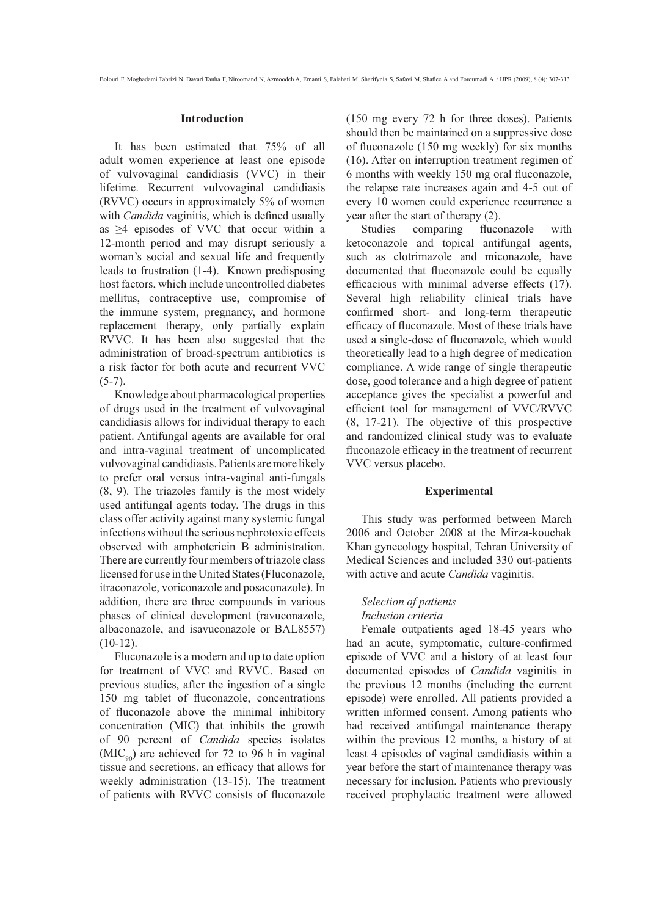#### **Introduction**

It has been estimated that 75% of all adult women experience at least one episode of vulvovaginal candidiasis (VVC) in their lifetime. Recurrent vulvovaginal candidiasis (RVVC) occurs in approximately 5% of women with *Candida* vaginitis, which is defined usually as  $\geq$ 4 episodes of VVC that occur within a 12-month period and may disrupt seriously a woman's social and sexual life and frequently leads to frustration (1-4). Known predisposing host factors, which include uncontrolled diabetes mellitus, contraceptive use, compromise of the immune system, pregnancy, and hormone replacement therapy, only partially explain RVVC. It has been also suggested that the administration of broad-spectrum antibiotics is a risk factor for both acute and recurrent VVC  $(5-7)$ .

Knowledge about pharmacological properties of drugs used in the treatment of vulvovaginal candidiasis allows for individual therapy to each patient. Antifungal agents are available for oral and intra-vaginal treatment of uncomplicated vulvovaginal candidiasis. Patients are more likely to prefer oral versus intra-vaginal anti-fungals  $(8, 9)$ . The triazoles family is the most widely used antifungal agents today. The drugs in this class offer activity against many systemic fungal infections without the serious nephrotoxic effects observed with amphotericin B administration. There are currently four members of triazole class licensed for use in the United States (Fluconazole, itraconazole, voriconazole and posaconazole). In addition, there are three compounds in various phases of clinical development (ravuconazole, albaconazole, and isavuconazole or BAL8557)  $(10-12)$ .

Fluconazole is a modern and up to date option for treatment of VVC and RVVC. Based on previous studies, after the ingestion of a single 150 mg tablet of fluconazole, concentrations of fluconazole above the minimal inhibitory concentration (MIC) that inhibits the growth of 90 percent of Candida species isolates  $(MIC<sub>oo</sub>)$  are achieved for 72 to 96 h in vaginal tissue and secretions, an efficacy that allows for weekly administration (13-15). The treatment of patients with RVVC consists of fluconazole

(150 mg every 72 h for three doses). Patients should then be maintained on a suppressive dose of fluconazole (150 mg weekly) for six months (16). After on interruption treatment regimen of 6 months with weekly 150 mg oral fluconazole, the relapse rate increases again and 4-5 out of every 10 women could experience recurrence a year after the start of therapy (2).

comparing Studies fluconazole with ketoconazole and topical antifungal agents, such as clotrimazole and miconazole, have documented that fluconazole could be equally efficacious with minimal adverse effects (17). Several high reliability clinical trials have confirmed short- and long-term therapeutic efficacy of fluconazole. Most of these trials have used a single-dose of fluconazole, which would theoretically lead to a high degree of medication compliance. A wide range of single therapeutic dose, good tolerance and a high degree of patient acceptance gives the specialist a powerful and efficient tool for management of VVC/RVVC  $(8, 17-21)$ . The objective of this prospective and randomized clinical study was to evaluate fluconazole efficacy in the treatment of recurrent VVC versus placebo.

#### **Experimental**

This study was performed between March 2006 and October 2008 at the Mirza-kouchak Khan gynecology hospital, Tehran University of Medical Sciences and included 330 out-patients with active and acute *Candida* vaginitis.

# Selection of patients Inclusion criteria

Female outpatients aged 18-45 years who had an acute, symptomatic, culture-confirmed episode of VVC and a history of at least four documented episodes of *Candida* vaginitis in the previous 12 months (including the current episode) were enrolled. All patients provided a written informed consent. Among patients who had received antifungal maintenance therapy within the previous 12 months, a history of at least 4 episodes of vaginal candidiasis within a year before the start of maintenance therapy was necessary for inclusion. Patients who previously received prophylactic treatment were allowed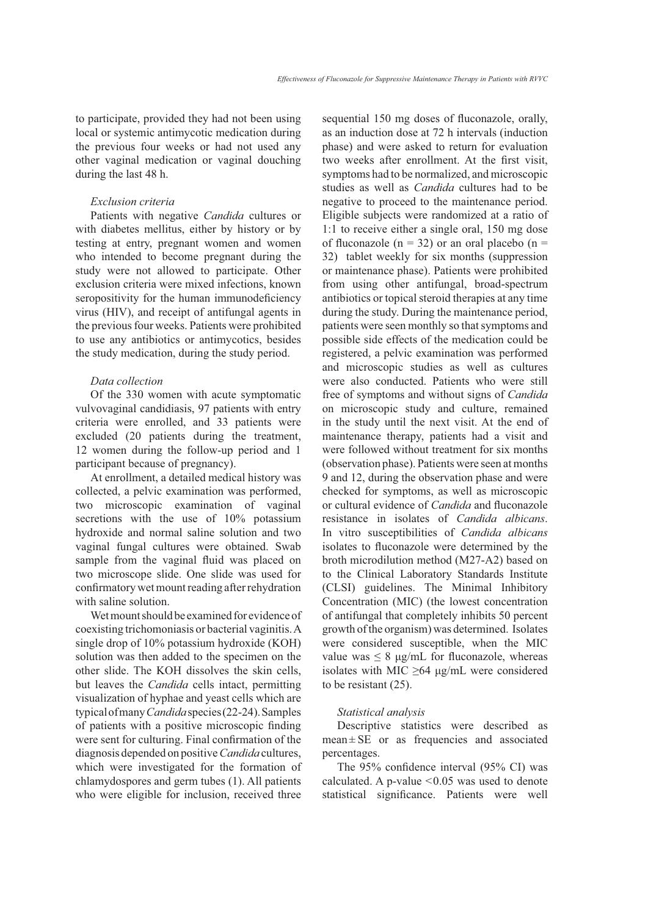to participate, provided they had not been using local or systemic antimycotic medication during the previous four weeks or had not used any other vaginal medication or vaginal douching during the last 48 h.

# *Exclusion criteria*

Patients with negative *Candida* cultures or with diabetes mellitus, either by history or by testing at entry, pregnant women and women who intended to become pregnant during the study were not allowed to participate. Other exclusion criteria were mixed infections, known seropositivity for the human immunodeficiency virus (HIV), and receipt of antifungal agents in the previous four weeks. Patients were prohibited to use any antibiotics or antimycotics, besides the study medication, during the study period.

#### *Data collection*

Of the 330 women with acute symptomatic vulvovaginal candidiasis, 97 patients with entry criteria were enrolled, and 33 patients were excluded (20 patients during the treatment, 12 women during the follow-up period and 1 participant because of pregnancy).

At enrollment, a detailed medical history was collected, a pelvic examination was performed, two microscopic examination of vaginal secretions with the use of  $10\%$  potassium hydroxide and normal saline solution and two vaginal fungal cultures were obtained. Swab sample from the vaginal fluid was placed on two microscope slide. One slide was used for confirmatory wet mount reading after rehydration with saline solution.

Wet mount should be examined for evidence of coexisting trichomoniasis or bacterial vaginitis. A single drop of  $10\%$  potassium hydroxide (KOH). solution was then added to the specimen on the other slide. The KOH dissolves the skin cells, but leaves the *Candida* cells intact, permitting visualization of hyphae and yeast cells which are typical of many *Candida* species (22-24). Samples of patients with a positive microscopic finding were sent for culturing. Final confirmation of the diagnosis depended on positive *Candida* cultures, which were investigated for the formation of chlamydospores and germ tubes  $(1)$ . All patients who were eligible for inclusion, received three sequential 150 mg doses of fluconazole, orally, as an induction dose at 72 h intervals (induction phase) and were asked to return for evaluation two weeks after enrollment. At the first visit, symptoms had to be normalized, and microscopic studies as well as *Candida* cultures had to be negative to proceed to the maintenance period. Eligible subjects were randomized at a ratio of 1:1 to receive either a single oral,  $150 \text{ mg dose}$ of fluconazole ( $n = 32$ ) or an oral placebo ( $n =$ 32) tablet weekly for six months (suppression or maintenance phase). Patients were prohibited from using other antifungal, broad-spectrum antibiotics or topical steroid therapies at any time during the study. During the maintenance period, patients were seen monthly so that symptoms and possible side effects of the medication could be registered, a pelvic examination was performed and microscopic studies as well as cultures were also conducted. Patients who were still free of symptoms and without signs of *Candida* on microscopic study and culture, remained in the study until the next visit. At the end of maintenance therapy, patients had a visit and were followed without treatment for six months (observation phase). Patients were seen at months 9 and 12, during the observation phase and were checked for symptoms, as well as microscopic or cultural evidence of *Candida* and fluconazole resistance in isolates of *Candida albicans*. In vitro susceptibilities of Candida albicans isolates to fluconazole were determined by the broth microdilution method (M27-A2) based on to the Clinical Laboratory Standards Institute (CLSI) guidelines. The Minimal Inhibitory Concentration (MIC) (the lowest concentration of antifungal that completely inhibits 50 percent growth of the organism) was determined. Isolates were considered susceptible, when the MIC value was  $\leq 8$  µg/mL for fluconazole, whereas isolates with MIC  $\geq$ 64 µg/mL were considered to be resistant  $(25)$ .

## *Statistical analysis*

Descriptive statistics were described as  $mean \pm SE$  or as frequencies and associated percentages.

The 95% confidence interval (95% CI) was calculated. A p-value  $\leq$  0.05 was used to denote statistical significance. Patients were well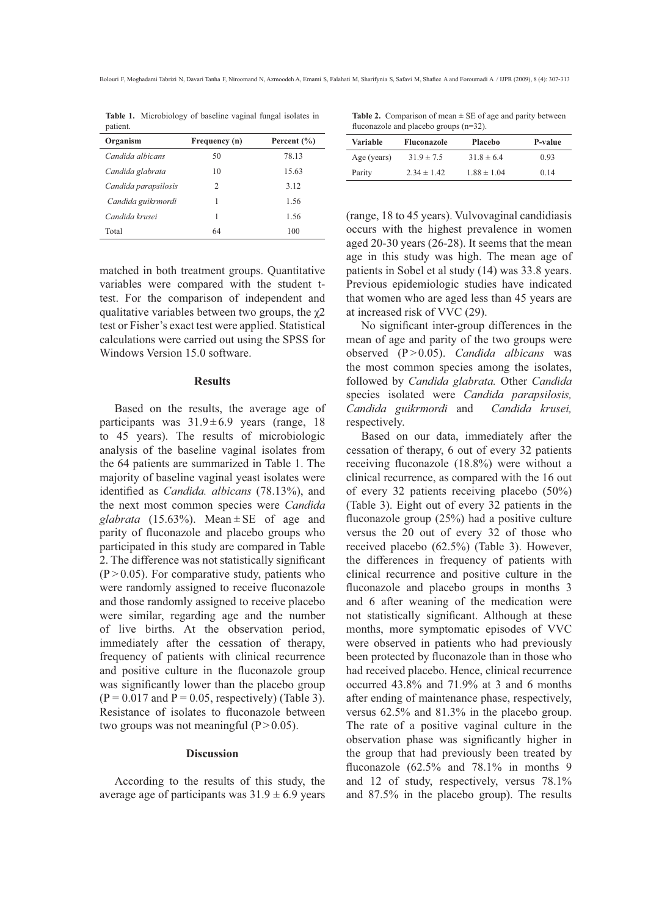Bolouri F, Moghadami Tabrizi N, Davari Tanha F, Niroomand N, Azmoodeh A, Emami S, Falahati M, Sharifynia S, Safavi M, Shafiee A and Foroumadi A / IJPR (2009), 8 (4): 307-313

| patient.             |               |                 |
|----------------------|---------------|-----------------|
| Organism             | Frequency (n) | Percent $(\% )$ |
| Candida albicans     | 50            | 78.13           |
| Candida glabrata     | 10            | 15.63           |
| Candida parapsilosis | 2             | 3.12            |
| Candida guikrmordi   | 1             | 1.56            |
| Candida krusei       | 1             | 1.56            |
| Total                | 64            | 100             |
|                      |               |                 |

Table 1. Microbiology of baseline vaginal fungal isolates in

matched in both treatment groups. Ouantitative variables were compared with the student ttest. For the comparison of independent and qualitative variables between two groups, the  $\gamma$ 2 test or Fisher's exact test were applied. Statistical calculations were carried out using the SPSS for Windows Version 15.0 software.

#### **Results**

Based on the results, the average age of participants was  $31.9 \pm 6.9$  years (range, 18) to 45 years). The results of microbiologic analysis of the baseline vaginal isolates from the 64 patients are summarized in Table 1. The majority of baseline vaginal yeast isolates were identified as *Candida*. *albicans* (78.13%), and the next most common species were Candida glabrata (15.63%). Mean  $\pm$  SE of age and parity of fluconazole and placebo groups who participated in this study are compared in Table 2. The difference was not statistically significant  $(P > 0.05)$ . For comparative study, patients who were randomly assigned to receive fluconazole and those randomly assigned to receive placebo were similar, regarding age and the number of live births. At the observation period, immediately after the cessation of therapy, frequency of patients with clinical recurrence and positive culture in the fluconazole group was significantly lower than the placebo group  $(P = 0.017$  and  $P = 0.05$ , respectively) (Table 3). Resistance of isolates to fluconazole between two groups was not meaningful ( $P > 0.05$ ).

#### **Discussion**

According to the results of this study, the average age of participants was  $31.9 \pm 6.9$  years

**Table 2.** Comparison of mean  $\pm$  SE of age and parity between fluconazole and placebo groups  $(n=32)$ .

| Variable    | <b>Fluconazole</b> | <b>Placebo</b>  | P-value |
|-------------|--------------------|-----------------|---------|
| Age (years) | $31.9 \pm 7.5$     | $31.8 \pm 6.4$  | 0.93    |
| Parity      | $2.34 \pm 1.42$    | $1.88 \pm 1.04$ | 0.14    |

(range, 18 to 45 years). Vulvovaginal candidiasis occurs with the highest prevalence in women aged 20-30 years (26-28). It seems that the mean age in this study was high. The mean age of patients in Sobel et al study (14) was 33.8 years. Previous epidemiologic studies have indicated that women who are aged less than 45 years are at increased risk of VVC (29).

No significant inter-group differences in the mean of age and parity of the two groups were observed  $(P>0.05)$ . Candida albicans was the most common species among the isolates, followed by *Candida glabrata*. Other *Candida* species isolated were Candida parapsilosis, Candida guikrmordi and Candida krusei, respectively.

Based on our data, immediately after the cessation of therapy, 6 out of every 32 patients receiving fluconazole (18.8%) were without a clinical recurrence, as compared with the 16 out of every 32 patients receiving placebo  $(50\%)$ (Table 3). Eight out of every 32 patients in the fluconazole group  $(25\%)$  had a positive culture versus the 20 out of every 32 of those who received placebo (62.5%) (Table 3). However, the differences in frequency of patients with clinical recurrence and positive culture in the fluconazole and placebo groups in months 3 and 6 after weaning of the medication were not statistically significant. Although at these months, more symptomatic episodes of VVC were observed in patients who had previously been protected by fluconazole than in those who had received placebo. Hence, clinical recurrence occurred  $43.8\%$  and  $71.9\%$  at 3 and 6 months after ending of maintenance phase, respectively, versus  $62.5\%$  and  $81.3\%$  in the placebo group. The rate of a positive vaginal culture in the observation phase was significantly higher in the group that had previously been treated by fluconazole  $(62.5\%$  and  $78.1\%$  in months 9 and 12 of study, respectively, versus 78.1% and 87.5% in the placebo group). The results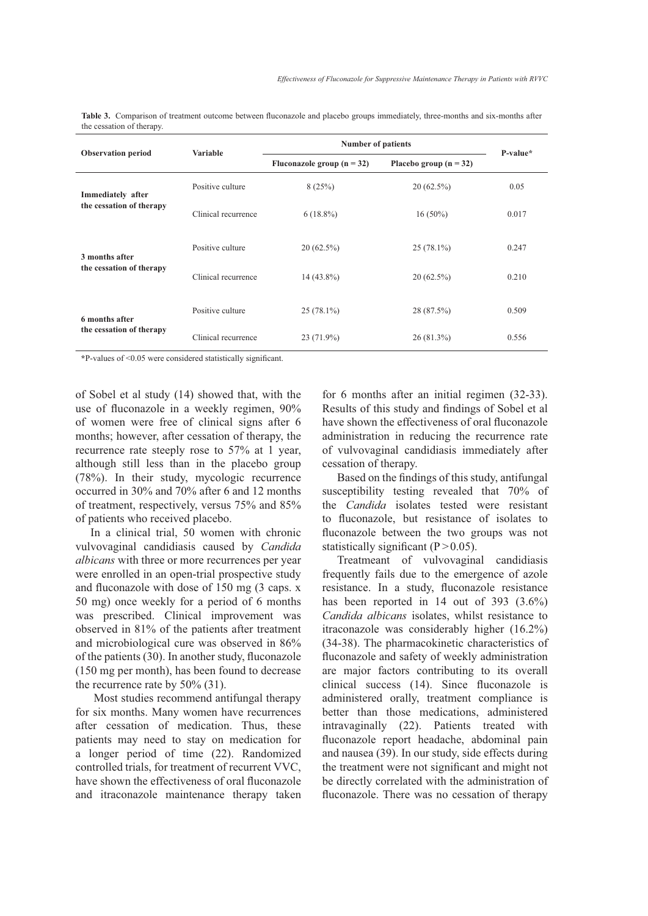| <b>Observation period</b>                     | <b>Variable</b>     | <b>Number of patients</b>    |                          | P-value* |
|-----------------------------------------------|---------------------|------------------------------|--------------------------|----------|
|                                               |                     | Fluconazole group $(n = 32)$ | Placebo group $(n = 32)$ |          |
| Immediately after<br>the cessation of therapy | Positive culture    | 8(25%)                       | $20(62.5\%)$             | 0.05     |
|                                               | Clinical recurrence | $6(18.8\%)$                  | $16(50\%)$               | 0.017    |
| 3 months after<br>the cessation of therapy    | Positive culture    | $20(62.5\%)$                 | $25(78.1\%)$             | 0.247    |
|                                               | Clinical recurrence | $14(43.8\%)$                 | $20(62.5\%)$             | 0.210    |
| 6 months after<br>the cessation of therapy    | Positive culture    | $25(78.1\%)$                 | 28 (87.5%)               | 0.509    |
|                                               | Clinical recurrence | 23 (71.9%)                   | $26(81.3\%)$             | 0.556    |

Table 3. Comparison of treatment outcome between fluconazole and placebo groups immediately, three-months and six-months after the cessation of therany

\*P-values of <0.05 were considered statistically significant.

of Sobel et al study (14) showed that, with the use of fluconazole in a weekly regimen, 90% of women were free of clinical signs after 6 months: however, after cessation of therapy, the recurrence rate steeply rose to 57% at 1 year, although still less than in the placebo group (78%). In their study, mycologic recurrence occurred in 30% and 70% after 6 and 12 months of treatment, respectively, versus 75% and 85% of patients who received placebo.

In a clinical trial, 50 women with chronic vulvovaginal candidiasis caused by Candida *albicans* with three or more recurrences per year were enrolled in an open-trial prospective study and fluconazole with dose of 150 mg (3 caps. x 50 mg) once weekly for a period of 6 months was prescribed. Clinical improvement was observed in 81% of the patients after treatment and microbiological cure was observed in 86% of the patients (30). In another study, fluconazole (150 mg per month), has been found to decrease the recurrence rate by  $50\%$  (31).

Most studies recommend antifungal therapy for six months. Many women have recurrences after cessation of medication. Thus, these patients may need to stay on medication for a longer period of time (22). Randomized controlled trials, for treatment of recurrent VVC, have shown the effectiveness of oral fluconazole and itraconazole maintenance therapy taken for 6 months after an initial regimen  $(32-33)$ . Results of this study and findings of Sobel et al have shown the effectiveness of oral fluconazole administration in reducing the recurrence rate of vulvovaginal candidiasis immediately after cessation of therapy.

Based on the findings of this study, antifungal susceptibility testing revealed that 70% of the *Candida* isolates tested were resistant to fluconazole, but resistance of isolates to fluconazole between the two groups was not statistically significant ( $P > 0.05$ ).

Treatmeant of vulvovaginal candidiasis frequently fails due to the emergence of azole resistance. In a study, fluconazole resistance has been reported in 14 out of 393  $(3.6\%)$ Candida albicans isolates, whilst resistance to itraconazole was considerably higher  $(16.2\%)$ (34-38). The pharmacokinetic characteristics of fluconazole and safety of weekly administration are major factors contributing to its overall clinical success (14). Since fluconazole is administered orally, treatment compliance is better than those medications, administered intravaginally (22). Patients treated with fluconazole report headache, abdominal pain and nausea (39). In our study, side effects during the treatment were not significant and might not be directly correlated with the administration of fluconazole. There was no cessation of therapy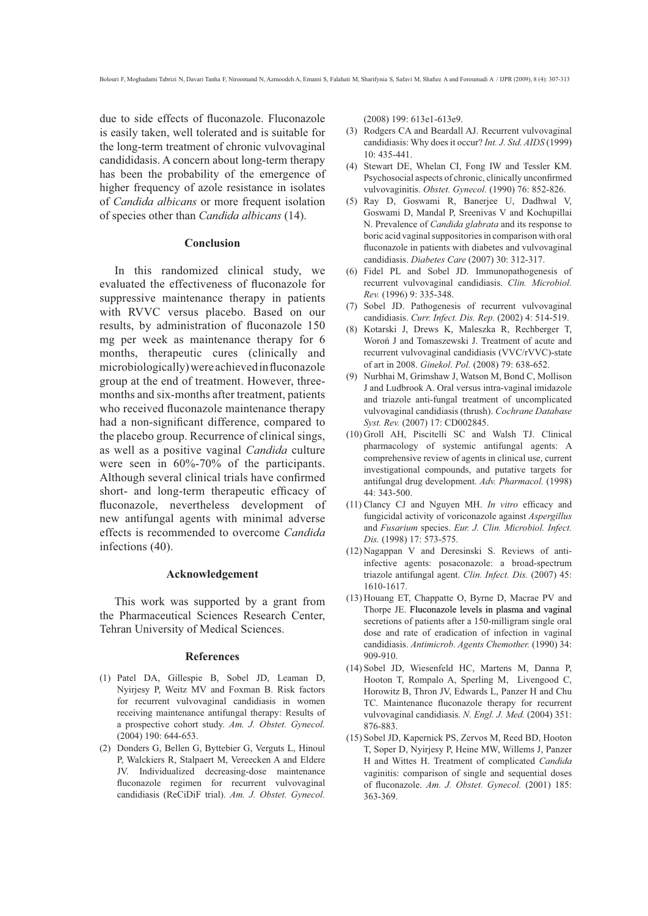due to side effects of fluconazole. Fluconazole is easily taken, well tolerated and is suitable for the long-term treatment of chronic vulvovaginal candididasis. A concern about long-term therapy has been the probability of the emergence of higher frequency of azole resistance in isolates of Candida albicans or more frequent isolation of species other than *Candida albicans* (14).

## Conclusion

In this randomized clinical study, we evaluated the effectiveness of fluconazole for suppressive maintenance therapy in patients with RVVC versus placebo. Based on our results, by administration of fluconazole 150 mg per week as maintenance therapy for 6 months, therapeutic cures (clinically and microbiologically) were achieved in fluconazole group at the end of treatment. However, threemonths and six-months after treatment, patients who received fluconazole maintenance therapy had a non-significant difference, compared to the placebo group. Recurrence of clinical sings. as well as a positive vaginal Candida culture were seen in  $60\% - 70\%$  of the participants. Although several clinical trials have confirmed short- and long-term therapeutic efficacy of fluconazole, nevertheless development of new antifungal agents with minimal adverse effects is recommended to overcome Candida infections (40).

#### Acknowledgement

This work was supported by a grant from the Pharmaceutical Sciences Research Center, Tehran University of Medical Sciences.

#### **References**

- (1) Patel DA, Gillespie B, Sobel JD, Leaman D, Nyirjesy P, Weitz MV and Foxman B. Risk factors for recurrent vulvovaginal candidiasis in women receiving maintenance antifungal therapy: Results of a prospective cohort study. Am. J. Obstet. Gynecol.  $(2004)$  190: 644-653.
- (2) Donders G, Bellen G, Byttebier G, Verguts L, Hinoul P, Walckiers R, Stalpaert M, Vereecken A and Eldere JV. Individualized decreasing-dose maintenance fluconazole regimen for recurrent vulvovaginal candidiasis (ReCiDiF trial). Am. J. Obstet. Gynecol.

(2008) 199: 613e1-613e9.

- (3) Rodgers CA and Beardall AJ. Recurrent vulvovaginal candidiasis: Why does it occur? Int. J. Std. AIDS (1999)  $10.435 - 441$
- (4) Stewart DE, Whelan CI, Fong IW and Tessler KM. Psychosocial aspects of chronic, clinically unconfirmed vulvovaginitis. Obstet. Gynecol. (1990) 76: 852-826.
- (5) Ray D, Goswami R, Banerjee U, Dadhwal V, Goswami D, Mandal P, Sreenivas V and Kochupillai N. Prevalence of Candida glabrata and its response to boric acid vaginal suppositories in comparison with oral fluconazole in patients with diabetes and vulvoyaginal candidiasis. Diabetes Care (2007) 30: 312-317.
- (6) Fidel PL and Sobel JD. Immunopathogenesis of recurrent vulvovaginal candidiasis. Clin. Microbiol. Rev. (1996) 9: 335-348.
- Sobel JD. Pathogenesis of recurrent vulvovaginal  $(7)$ candidiasis. Curr. Infect. Dis. Rep. (2002) 4: 514-519.
- $(8)$ Kotarski J, Drews K, Maleszka R, Rechberger T, Woroń J and Tomaszewski J. Treatment of acute and recurrent vulvovaginal candidiasis (VVC/rVVC)-state of art in 2008. Ginekol. Pol. (2008) 79: 638-652.
- (9) Nurbhai M, Grimshaw J, Watson M, Bond C, Mollison J and Ludbrook A. Oral versus intra-vaginal imidazole and triazole anti-fungal treatment of uncomplicated vulvovaginal candidiasis (thrush). Cochrane Database Syst. Rev. (2007) 17: CD002845.
- (10) Groll AH, Piscitelli SC and Walsh TJ. Clinical pharmacology of systemic antifungal agents: A comprehensive review of agents in clinical use, current investigational compounds, and putative targets for antifungal drug development. Adv. Pharmacol. (1998) 44: 343-500.
- (11) Clancy CJ and Nguyen MH. In vitro efficacy and fungicidal activity of voriconazole against *Aspergillus* and Fusarium species. Eur. J. Clin. Microbiol. Infect. Dis. (1998) 17: 573-575.
- (12) Nagappan V and Deresinski S. Reviews of antiinfective agents: posaconazole: a broad-spectrum triazole antifungal agent. Clin. Infect. Dis. (2007) 45: 1610-1617.
- (13) Houang ET, Chappatte O, Byrne D, Macrae PV and Thorpe JE. Fluconazole levels in plasma and vaginal secretions of patients after a 150-milligram single oral dose and rate of eradication of infection in vaginal candidiasis. Antimicrob. Agents Chemother. (1990) 34:  $909 - 910$
- (14) Sobel JD, Wiesenfeld HC, Martens M, Danna P, Hooton T, Rompalo A, Sperling M, Livengood C, Horowitz B, Thron JV, Edwards L, Panzer H and Chu TC. Maintenance fluconazole therapy for recurrent vulvovaginal candidiasis. N. Engl. J. Med. (2004) 351: 876-883.
- (15) Sobel JD, Kapernick PS, Zervos M, Reed BD, Hooton T, Soper D, Nyirjesy P, Heine MW, Willems J, Panzer H and Wittes H. Treatment of complicated Candida vaginitis: comparison of single and sequential doses of fluconazole. Am. J. Obstet. Gynecol. (2001) 185: 363-369.